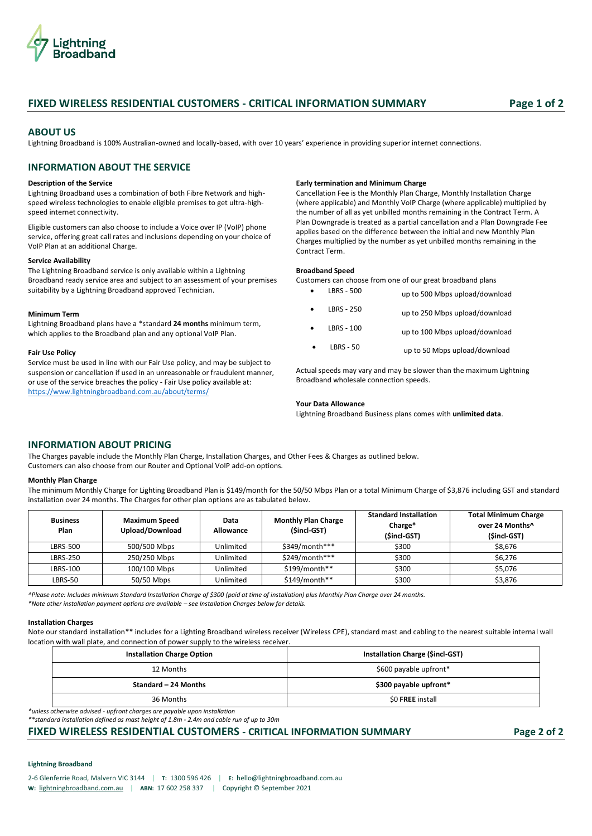

# **FIXED WIRELESS RESIDENTIAL CUSTOMERS - CRITICAL INFORMATION SUMMARY Page 1 of 2**

## **ABOUT US**

Lightning Broadband is 100% Australian-owned and locally-based, with over 10 years' experience in providing superior internet connections.

# **INFORMATION ABOUT THE SERVICE**

### **Description of the Service**

Lightning Broadband uses a combination of both Fibre Network and highspeed wireless technologies to enable eligible premises to get ultra-highspeed internet connectivity.

Eligible customers can also choose to include a Voice over IP (VoIP) phone service, offering great call rates and inclusions depending on your choice of VoIP Plan at an additional Charge.

### **Service Availability**

The Lightning Broadband service is only available within a Lightning Broadband ready service area and subject to an assessment of your premises suitability by a Lightning Broadband approved Technician.

#### **Minimum Term**

Lightning Broadband plans have a \*standard **24 months** minimum term, which applies to the Broadband plan and any optional VoIP Plan.

### **Fair Use Policy**

Service must be used in line with our Fair Use policy, and may be subject to suspension or cancellation if used in an unreasonable or fraudulent manner, or use of the service breaches the policy - Fair Use policy available at: <https://www.lightningbroadband.com.au/about/terms/>

### **Early termination and Minimum Charge**

Cancellation Fee is the Monthly Plan Charge, Monthly Installation Charge (where applicable) and Monthly VoIP Charge (where applicable) multiplied by the number of all as yet unbilled months remaining in the Contract Term. A Plan Downgrade is treated as a partial cancellation and a Plan Downgrade Fee applies based on the difference between the initial and new Monthly Plan Charges multiplied by the number as yet unbilled months remaining in the Contract Term.

### **Broadband Speed**

Customers can choose from one of our great broadband plans

|   | LBRS - 500  | up to 500 Mbps upload/download |
|---|-------------|--------------------------------|
|   | LBRS - 250  | up to 250 Mbps upload/download |
| ٠ | LBRS - 100  | up to 100 Mbps upload/download |
|   | $LBRS - 50$ | up to 50 Mbps upload/download  |

Actual speeds may vary and may be slower than the maximum Lightning Broadband wholesale connection speeds.

### **Your Data Allowance**

Lightning Broadband Business plans comes with **unlimited data**.

## **INFORMATION ABOUT PRICING**

The Charges payable include the Monthly Plan Charge, Installation Charges, and Other Fees & Charges as outlined below. Customers can also choose from our Router and Optional VoIP add-on options.

### **Monthly Plan Charge**

The minimum Monthly Charge for Lighting Broadband Plan is \$149/month for the 50/50 Mbps Plan or a total Minimum Charge of \$3,876 including GST and standard installation over 24 months. The Charges for other plan options are as tabulated below.

| <b>Business</b><br><b>Plan</b> | <b>Maximum Speed</b><br>Upload/Download | Data<br><b>Allowance</b> | <b>Monthly Plan Charge</b><br>(Sincl-GST) | <b>Standard Installation</b><br>Charge*<br>(\$incl-GST) | <b>Total Minimum Charge</b><br>over 24 Months^<br>(Sincl-GST) |
|--------------------------------|-----------------------------------------|--------------------------|-------------------------------------------|---------------------------------------------------------|---------------------------------------------------------------|
| LBRS-500                       | 500/500 Mbps                            | Unlimited                | \$349/month***                            | \$300                                                   | \$8.676                                                       |
| <b>LBRS-250</b>                | 250/250 Mbps                            | Unlimited                | \$249/month***                            | \$300                                                   | \$6.276                                                       |
| LBRS-100                       | 100/100 Mbps                            | Unlimited                | \$199/month**                             | \$300                                                   | \$5.076                                                       |
| LBRS-50                        | 50/50 Mbps                              | Unlimited                | $$149/month**$                            | \$300                                                   | \$3,876                                                       |

*^Please note: Includes minimum Standard Installation Charge of \$300 (paid at time of installation) plus Monthly Plan Charge over 24 months. \*Note other installation payment options are available – see Installation Charges below for details.*

### **Installation Charges**

Note our standard installation\*\* includes for a Lighting Broadband wireless receiver (Wireless CPE), standard mast and cabling to the nearest suitable internal wall location with wall plate, and connection of power supply to the wireless receiver.

| <b>Installation Charge Option</b> | Installation Charge (Sincl-GST) |
|-----------------------------------|---------------------------------|
| 12 Months                         | \$600 payable upfront*          |
| Standard – 24 Months              | \$300 payable upfront*          |
| 36 Months                         | \$0 FREE install                |

*\*unless otherwise advised - upfront charges are payable upon installation*

*\*\*standard installation defined as mast height of 1.8m - 2.4m and cable run of up to 30m*

# **FIXED WIRELESS RESIDENTIAL CUSTOMERS - CRITICAL INFORMATION SUMMARY Page 2 of 2**

### **Lightning Broadband**